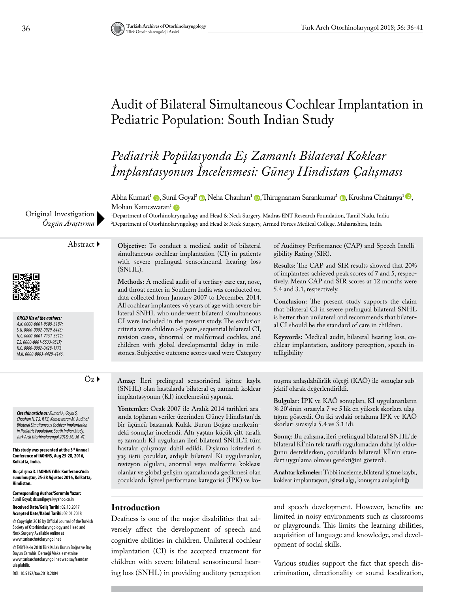# Audit of Bilateral Simultaneous Cochlear Implantation in Pediatric Population: South Indian Study

# *Pediatrik Popülasyonda Eş Zamanlı Bilateral Koklear İmplantasyonun İncelenmesi: Güney Hindistan Çalışması*

Abha Kumari<sup>1</sup> (**p**[,](https://orcid.org/0000-0001-7151-3311) Sunil Goyal<sup>2</sup> (**p**, Neha Chauhan<sup>1</sup> (**p**, Thirugnanam Sarankumar<sup>1</sup> (**p**, Krushna Chaitanya<sup>1</sup> (**b**, Mohan Kameswaran<sup>[1](https://orcid.org/0000-0003-4429-4146)</sup> D

1 Department of Otorhinolaryngology and Head & Neck Surgery, Madras ENT Research Foundation, Tamil Nadu, India 2 Department of Otorhinolaryngology and Head & Neck Surgery, Armed Forces Medical College, Maharashtra, India

Original Investigation *Özgün Araştırma*

*ORCID IDs of the authors: A.K. 0000-0001-9589-3187; S.G. 0000-0002-0929-8443; N.C. 0000-0001-7151-3311; T.S. 0000-0001-5533-951X; K.C. 0000-0002-0428-1773 M.K. 0000-0003-4429-4146.*

*Cite this article as: Kumari A, Goyal S, Chauhan N, T S, R KC, Kameswaran M. Audit of Bilateral Simultaneous Cochlear Implantation in Pediatric Population: South Indian Study. Turk Arch Otorhinolaryngol 2018; 56: 36-41.*

**This study was presented at the 3rd Annual Conference of IAOHNS, Aug 25-28, 2016, Kolkatta, India.**

**Bu çalışma 3. IAOHNS Yıllık Konferansı'nda sunulmuştur, 25-28 Ağustos 2016, Kolkatta, Hindistan.**

**Corresponding Author/Sorumlu Yazar:**  Sunil Goyal; drsunilgoyal@yahoo.co.in

**Received Date/Geliş Tarihi:** 02.10.2017 **Accepted Date/Kabul Tarihi:** 02.01.2018

© Copyright 2018 by Official Journal of the Turkish Society of Otorhinolaryngology and Head and Neck Surgery Available online at www.turkarchotolaryngol.net

© Telif Hakkı 2018 Türk Kulak Burun Boğaz ve Baş Boyun Cerrahisi Derneği Makale metnine www.turkarchotolaryngol.net web sayfasından ulaşılabilir.

DOI: 10.5152/tao.2018.2804

Abstract **Objective:** To conduct a medical audit of bilateral simultaneous cochlear implantation (CI) in patients with severe prelingual sensorineural hearing loss (SNHL).

> **Methods:** A medical audit of a tertiary care ear, nose, and throat center in Southern India was conducted on data collected from January 2007 to December 2014. All cochlear implantees <6 years of age with severe bilateral SNHL who underwent bilateral simultaneous CI were included in the present study. The exclusion criteria were children >6 years, sequential bilateral CI, revision cases, abnormal or malformed cochlea, and children with global developmental delay in milestones. Subjective outcome scores used were Category

of Auditory Performance (CAP) and Speech Intelligibility Rating (SIR).

**Results:** The CAP and SIR results showed that 20% of implantees achieved peak scores of 7 and 5, respectively. Mean CAP and SIR scores at 12 months were 5.4 and 3.1, respectively.

**Conclusion:** The present study supports the claim that bilateral CI in severe prelingual bilateral SNHL is better than unilateral and recommends that bilateral CI should be the standard of care in children.

**Keywords:** Medical audit, bilateral hearing loss, cochlear implantation, auditory perception, speech intelligibility

Öz **Amaç:** İleri prelingual sensorinöral işitme kaybı (SNHL) olan hastalarda bilateral eş zamanlı koklear implantasyonun (Kİ) incelemesini yapmak.

> **Yöntemler:** Ocak 2007 ile Aralık 2014 tarihleri arasında toplanan veriler üzerinden Güney Hindistan'da bir üçüncü basamak Kulak Burun Boğaz merkezindeki sonuçlar incelendi. Altı yaştan küçük çift taraflı eş zamanlı Kİ uygulanan ileri bilateral SNHL'li tüm hastalar çalışmaya dahil edildi. Dışlama kriterleri 6 yaş üstü çocuklar, ardışık bilateral Ki uygulananlar, revizyon olguları, anormal veya malforme kokleası olanlar ve global gelişim aşamalarında gecikmesi olan çocuklardı. İşitsel performans kategorisi (İPK) ve ko

nuşma anlaşılabilirlik ölçeği (KAÖ) ile sonuçlar subjektif olarak değerlendirildi.

**Bulgular:** İPK ve KAÖ sonuçları, Kİ uygulananların % 20'sinin sırasıyla 7 ve 5'lik en yüksek skorlara ulaştığını gösterdi. On iki aydaki ortalama İPK ve KAÖ skorları sırasıyla 5.4 ve 3.1 idi.

**Sonuç:** Bu çalışma, ileri prelingual bilateral SNHL'de bilateral Kİ'nin tek taraflı uygulamadan daha iyi olduğunu desteklerken, çocuklarda bilateral Kİ'nin standart uygulama olması gerektiğini gösterdi.

**Anahtar kelimeler:** Tıbbi inceleme, bilateral işitme kaybı, koklear implantasyon, işitsel algı, konuşma anlaşılırlığı

#### **Introduction**

Deafness is one of the major disabilities that adversely affect the development of speech and cognitive abilities in children. Unilateral cochlear implantation (CI) is the accepted treatment for children with severe bilateral sensorineural hearing loss (SNHL) in providing auditory perception

and speech development. However, benefits are limited in noisy environments such as classrooms or playgrounds. This limits the learning abilities, acquisition of language and knowledge, and development of social skills.

Various studies support the fact that speech discrimination, directionality or sound localization,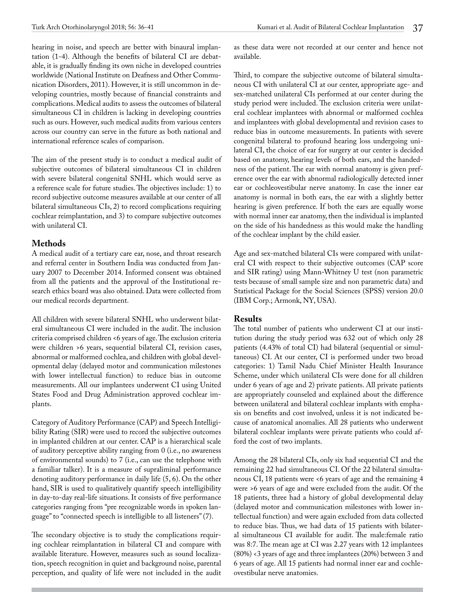hearing in noise, and speech are better with binaural implantation (1-4). Although the benefits of bilateral CI are debatable, it is gradually finding its own niche in developed countries worldwide (National Institute on Deafness and Other Communication Disorders, 2011). However, it is still uncommon in developing countries, mostly because of financial constraints and complications. Medical audits to assess the outcomes of bilateral simultaneous CI in children is lacking in developing countries such as ours. However, such medical audits from various centers across our country can serve in the future as both national and international reference scales of comparison.

The aim of the present study is to conduct a medical audit of subjective outcomes of bilateral simultaneous CI in children with severe bilateral congenital SNHL which would serve as a reference scale for future studies. The objectives include: 1) to record subjective outcome measures available at our center of all bilateral simultaneous CIs, 2) to record complications requiring cochlear reimplantation, and 3) to compare subjective outcomes with unilateral CI.

# **Methods**

A medical audit of a tertiary care ear, nose, and throat research and referral center in Southern India was conducted from January 2007 to December 2014. Informed consent was obtained from all the patients and the approval of the Institutional research ethics board was also obtained. Data were collected from our medical records department.

All children with severe bilateral SNHL who underwent bilateral simultaneous CI were included in the audit. The inclusion criteria comprised children <6 years of age. The exclusion criteria were children >6 years, sequential bilateral CI, revision cases, abnormal or malformed cochlea, and children with global developmental delay (delayed motor and communication milestones with lower intellectual function) to reduce bias in outcome measurements. All our implantees underwent CI using United States Food and Drug Administration approved cochlear implants.

Category of Auditory Performance (CAP) and Speech Intelligibility Rating (SIR) were used to record the subjective outcomes in implanted children at our center. CAP is a hierarchical scale of auditory perceptive ability ranging from 0 (i.e., no awareness of environmental sounds) to 7 (i.e., can use the telephone with a familiar talker). It is a measure of supraliminal performance denoting auditory performance in daily life (5, 6). On the other hand, SIR is used to qualitatively quantify speech intelligibility in day-to-day real-life situations. It consists of five performance categories ranging from "pre recognizable words in spoken language" to "connected speech is intelligible to all listeners" (7).

The secondary objective is to study the complications requiring cochlear reimplantation in bilateral CI and compare with available literature. However, measures such as sound localization, speech recognition in quiet and background noise, parental perception, and quality of life were not included in the audit as these data were not recorded at our center and hence not available.

Third, to compare the subjective outcome of bilateral simultaneous CI with unilateral CI at our center, appropriate age- and sex-matched unilateral CIs performed at our center during the study period were included. The exclusion criteria were unilateral cochlear implantees with abnormal or malformed cochlea and implantees with global developmental and revision cases to reduce bias in outcome measurements. In patients with severe congenital bilateral to profound hearing loss undergoing unilateral CI, the choice of ear for surgery at our center is decided based on anatomy, hearing levels of both ears, and the handedness of the patient. The ear with normal anatomy is given preference over the ear with abnormal radiologically detected inner ear or cochleovestibular nerve anatomy. In case the inner ear anatomy is normal in both ears, the ear with a slightly better hearing is given preference. If both the ears are equally worse with normal inner ear anatomy, then the individual is implanted on the side of his handedness as this would make the handling of the cochlear implant by the child easier.

Age and sex-matched bilateral CIs were compared with unilateral CI with respect to their subjective outcomes (CAP score and SIR rating) using Mann-Whitney U test (non parametric tests because of small sample size and non parametric data) and Statistical Package for the Social Sciences (SPSS) version 20.0 (IBM Corp.; Armonk, NY, USA).

# **Results**

The total number of patients who underwent CI at our institution during the study period was 632 out of which only 28 patients (4.43% of total CI) had bilateral (sequential or simultaneous) CI. At our center, CI is performed under two broad categories: 1) Tamil Nadu Chief Minister Health Insurance Scheme, under which unilateral CIs were done for all children under 6 years of age and 2) private patients. All private patients are appropriately counseled and explained about the difference between unilateral and bilateral cochlear implants with emphasis on benefits and cost involved, unless it is not indicated because of anatomical anomalies. All 28 patients who underwent bilateral cochlear implants were private patients who could afford the cost of two implants.

Among the 28 bilateral CIs, only six had sequential CI and the remaining 22 had simultaneous CI. Of the 22 bilateral simultaneous CI, 18 patients were <6 years of age and the remaining 4 were >6 years of age and were excluded from the audit. Of the 18 patients, three had a history of global developmental delay (delayed motor and communication milestones with lower intellectual function) and were again excluded from data collected to reduce bias. Thus, we had data of 15 patients with bilateral simultaneous CI available for audit. The male:female ratio was 8:7. The mean age at CI was 2.27 years with 12 implantees (80%) <3 years of age and three implantees (20%) between 3 and 6 years of age. All 15 patients had normal inner ear and cochleovestibular nerve anatomies.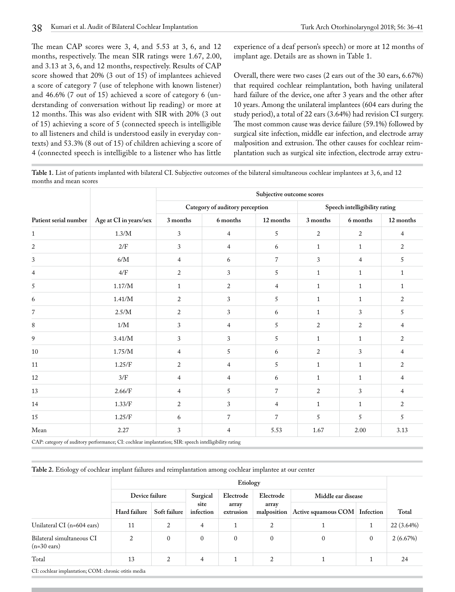The mean CAP scores were 3, 4, and 5.53 at 3, 6, and 12 months, respectively. The mean SIR ratings were 1.67, 2.00, and 3.13 at 3, 6, and 12 months, respectively. Results of CAP score showed that 20% (3 out of 15) of implantees achieved a score of category 7 (use of telephone with known listener) and 46.6% (7 out of 15) achieved a score of category 6 (understanding of conversation without lip reading) or more at 12 months. This was also evident with SIR with 20% (3 out of 15) achieving a score of 5 (connected speech is intelligible to all listeners and child is understood easily in everyday contexts) and 53.3% (8 out of 15) of children achieving a score of 4 (connected speech is intelligible to a listener who has little experience of a deaf person's speech) or more at 12 months of implant age. Details are as shown in Table 1.

Overall, there were two cases (2 ears out of the 30 ears, 6.67%) that required cochlear reimplantation, both having unilateral hard failure of the device, one after 3 years and the other after 10 years. Among the unilateral implantees (604 ears during the study period), a total of 22 ears (3.64%) had revision CI surgery. The most common cause was device failure (59.1%) followed by surgical site infection, middle ear infection, and electrode array malposition and extrusion. The other causes for cochlear reimplantation such as surgical site infection, electrode array extru-

**Table 1.** List of patients implanted with bilateral CI. Subjective outcomes of the bilateral simultaneous cochlear implantees at 3, 6, and 12 months and mean scores

| Patient serial number | Age at CI in years/sex | Subjective outcome scores |                                 |                |                               |                |                |  |  |
|-----------------------|------------------------|---------------------------|---------------------------------|----------------|-------------------------------|----------------|----------------|--|--|
|                       |                        |                           | Category of auditory perception |                | Speech intelligibility rating |                |                |  |  |
|                       |                        | 3 months                  | 6 months                        | 12 months      | 3 months                      | 6 months       | 12 months      |  |  |
| $\mathbf{1}$          | 1.3/M                  | 3                         | $\overline{4}$                  | 5              | $\sqrt{2}$                    | $\overline{c}$ | $\overline{4}$ |  |  |
| 2                     | 2/F                    | 3                         | $\overline{4}$                  | 6              | $\mathbf{1}$                  | $\mathbf{1}$   | 2              |  |  |
| 3                     | $6/M$                  | 4                         | 6                               | $\overline{7}$ | 3                             | $\overline{4}$ | 5              |  |  |
| 4                     | 4/F                    | 2                         | 3                               | 5              | $\mathbf{1}$                  | $\mathbf{1}$   | $\mathbf{1}$   |  |  |
| 5                     | $1.17/\hbox{M}$        | $\mathbf{1}$              | 2                               | $\overline{4}$ | $\mathbf{1}$                  | $\mathbf{1}$   | $\mathbf{1}$   |  |  |
| 6                     | 1.41/M                 | $\boldsymbol{2}$          | 3                               | 5              | $\mathbf{1}$                  | $\mathbf{1}$   | $\overline{2}$ |  |  |
| $\overline{7}$        | 2.5/M                  | $\overline{2}$            | 3                               | 6              | $\mathbf{1}$                  | 3              | 5              |  |  |
| 8                     | 1/M                    | 3                         | $\overline{4}$                  | $\sqrt{5}$     | $\overline{2}$                | $\overline{2}$ | $\overline{4}$ |  |  |
| 9                     | 3.41/M                 | 3                         | 3                               | 5              | $\mathbf{1}$                  | $\mathbf{1}$   | 2              |  |  |
| 10                    | 1.75/M                 | 4                         | 5                               | 6              | 2                             | 3              | $\overline{4}$ |  |  |
| 11                    | 1.25/F                 | 2                         | $\overline{4}$                  | 5              | $\mathbf{1}$                  | $\mathbf{1}$   | 2              |  |  |
| 12                    | 3/F                    | 4                         | $\overline{4}$                  | 6              | $\mathbf{1}$                  | $\mathbf{1}$   | $\overline{4}$ |  |  |
| 13                    | 2.66/F                 | 4                         | 5                               | $\overline{7}$ | $\overline{2}$                | 3              | 4              |  |  |
| 14                    | 1.33/F                 | 2                         | 3                               | 4              | $\mathbf{1}$                  | $\mathbf{1}$   | 2              |  |  |
| 15                    | 1.25/F                 | 6                         | $\overline{7}$                  | $\overline{7}$ | 5                             | 5              | 5              |  |  |
| Mean                  | 2.27                   | 3                         | $\overline{4}$                  | 5.53           | 1.67                          | 2.00           | 3.13           |  |  |

CAP: category of auditory performance; CI: cochlear implantation; SIR: speech intelligibility rating

**Table 2.** Etiology of cochlear implant failures and reimplantation among cochlear implantee at our center

|                                                      | Etiology       |                |                   |                    |                      |                     |           |            |
|------------------------------------------------------|----------------|----------------|-------------------|--------------------|----------------------|---------------------|-----------|------------|
|                                                      | Device failure |                | Surgical          | Electrode          | Electrode            | Middle ear disease  |           |            |
|                                                      | Hard failure   | Soft failure   | site<br>infection | array<br>extrusion | array<br>malposition | Active squamous COM | Infection | Total      |
| Unilateral CI $(n=604 \text{ cars})$                 | 11             | 2              | 4                 |                    | 2                    |                     |           | 22 (3.64%) |
| Bilateral simultaneous CI<br>$(n=30 \text{ cars})$   | 2              | $\mathbf{0}$   | $\mathbf{0}$      | $\mathbf{0}$       | $\mathbf{0}$         | $\mathbf{0}$        | $\Omega$  | 2(6.67%)   |
| Total                                                | 13             | $\overline{2}$ | 4                 | 1.                 | 2                    |                     |           | 24         |
| CI: cochlear implantation; COM: chronic otitis media |                |                |                   |                    |                      |                     |           |            |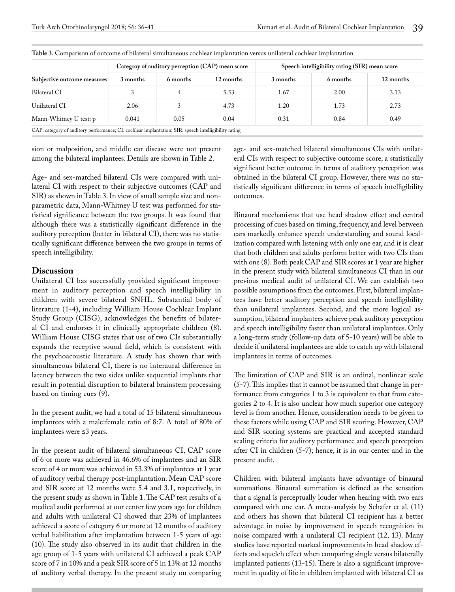|                                                                                                      |          |          | Categroy of auditory perception (CAP) mean score | Speech intelligibility rating (SIR) mean score |          |           |  |  |
|------------------------------------------------------------------------------------------------------|----------|----------|--------------------------------------------------|------------------------------------------------|----------|-----------|--|--|
| Subjective outcome measures                                                                          | 3 months | 6 months | 12 months                                        | 3 months                                       | 6 months | 12 months |  |  |
| <b>Bilateral CI</b>                                                                                  |          |          | 5.53                                             | 1.67                                           | 2.00     | 3.13      |  |  |
| Unilateral CI                                                                                        | 2.06     | 3        | 4.73                                             | 1.20                                           | 1.73     | 2.73      |  |  |
| Mann-Whitney U test: p                                                                               | 0.041    | 0.05     | 0.04                                             | 0.31                                           | 0.84     | 0.49      |  |  |
| CAP: category of auditory performance; CI: cochlear implantation; SIR: speech intelligibility rating |          |          |                                                  |                                                |          |           |  |  |

**Table 3.** Comparison of outcome of bilateral simultaneous cochlear implantation versus unilateral cochlear implantation

sion or malposition, and middle ear disease were not present among the bilateral implantees. Details are shown in Table 2.

Age- and sex-matched bilateral CIs were compared with unilateral CI with respect to their subjective outcomes (CAP and SIR) as shown in Table 3. In view of small sample size and nonparametric data, Mann-Whitney U test was performed for statistical significance between the two groups. It was found that although there was a statistically significant difference in the auditory perception (better in bilateral CI), there was no statistically significant difference between the two groups in terms of speech intelligibility.

### **Discussion**

Unilateral CI has successfully provided significant improvement in auditory perception and speech intelligibility in children with severe bilateral SNHL. Substantial body of literature (1-4), including William House Cochlear Implant Study Group (CISG), acknowledges the benefits of bilateral CI and endorses it in clinically appropriate children (8). William House CISG states that use of two CIs substantially expands the receptive sound field, which is consistent with the psychoacoustic literature. A study has shown that with simultaneous bilateral CI, there is no interaural difference in latency between the two sides unlike sequential implants that result in potential disruption to bilateral brainstem processing based on timing cues (9).

In the present audit, we had a total of 15 bilateral simultaneous implantees with a male:female ratio of 8:7. A total of 80% of implantees were ≤3 years.

In the present audit of bilateral simultaneous CI, CAP score of 6 or more was achieved in 46.6% of implantees and an SIR score of 4 or more was achieved in 53.3% of implantees at 1 year of auditory verbal therapy post-implantation. Mean CAP score and SIR score at 12 months were 5.4 and 3.1, respectively, in the present study as shown in Table 1. The CAP test results of a medical audit performed at our center few years ago for children and adults with unilateral CI showed that 23% of implantees achieved a score of category 6 or more at 12 months of auditory verbal habilitation after implantation between 1-5 years of age (10). The study also observed in its audit that children in the age group of 1-5 years with unilateral CI achieved a peak CAP score of 7 in 10% and a peak SIR score of 5 in 13% at 12 months of auditory verbal therapy. In the present study on comparing age- and sex-matched bilateral simultaneous CIs with unilateral CIs with respect to subjective outcome score, a statistically significant better outcome in terms of auditory perception was obtained in the bilateral CI group. However, there was no statistically significant difference in terms of speech intelligibility outcomes.

Binaural mechanisms that use head shadow effect and central processing of cues based on timing, frequency, and level between ears markedly enhance speech understanding and sound localization compared with listening with only one ear, and it is clear that both children and adults perform better with two CIs than with one (8). Both peak CAP and SIR scores at 1 year are higher in the present study with bilateral simultaneous CI than in our previous medical audit of unilateral CI. We can establish two possible assumptions from the outcomes. First, bilateral implantees have better auditory perception and speech intelligibility than unilateral implantees. Second, and the more logical assumption, bilateral implantees achieve peak auditory perception and speech intelligibility faster than unilateral implantees. Only a long-term study (follow-up data of 5-10 years) will be able to decide if unilateral implantees are able to catch up with bilateral implantees in terms of outcomes.

The limitation of CAP and SIR is an ordinal, nonlinear scale (5-7). This implies that it cannot be assumed that change in performance from categories 1 to 3 is equivalent to that from categories 2 to 4. It is also unclear how much superior one category level is from another. Hence, consideration needs to be given to these factors while using CAP and SIR scoring. However, CAP and SIR scoring systems are practical and accepted standard scaling criteria for auditory performance and speech perception after CI in children (5-7); hence, it is in our center and in the present audit.

Children with bilateral implants have advantage of binaural summations. Binaural summation is defined as the sensation that a signal is perceptually louder when hearing with two ears compared with one ear. A meta-analysis by Schafer et al. (11) and others has shown that bilateral CI recipient has a better advantage in noise by improvement in speech recognition in noise compared with a unilateral CI recipient (12, 13). Many studies have reported marked improvements in head shadow effects and squelch effect when comparing single versus bilaterally implanted patients (13-15). There is also a significant improvement in quality of life in children implanted with bilateral CI as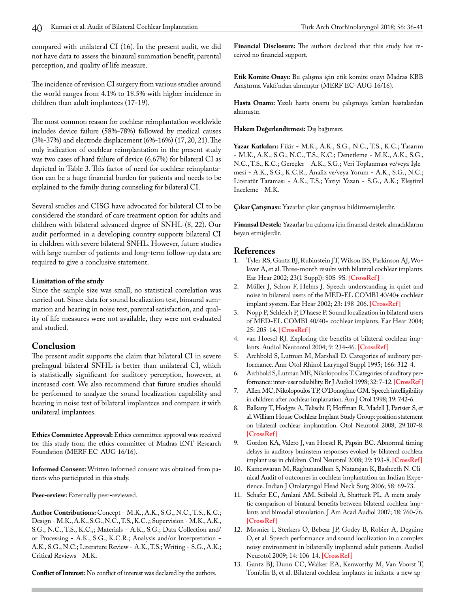compared with unilateral CI (16). In the present audit, we did not have data to assess the binaural summation benefit, parental perception, and quality of life measure.

The incidence of revision CI surgery from various studies around the world ranges from 4.1% to 18.5% with higher incidence in children than adult implantees (17-19).

The most common reason for cochlear reimplantation worldwide includes device failure (58%-78%) followed by medical causes (3%-37%) and electrode displacement (6%-16%) (17, 20, 21). The only indication of cochlear reimplantation in the present study was two cases of hard failure of device (6.67%) for bilateral CI as depicted in Table 3. This factor of need for cochlear reimplantation can be a huge financial burden for patients and needs to be explained to the family during counseling for bilateral CI.

Several studies and CISG have advocated for bilateral CI to be considered the standard of care treatment option for adults and children with bilateral advanced degree of SNHL (8, 22). Our audit performed in a developing country supports bilateral CI in children with severe bilateral SNHL. However, future studies with large number of patients and long-term follow-up data are required to give a conclusive statement.

#### **Limitation of the study**

Since the sample size was small, no statistical correlation was carried out. Since data for sound localization test, binaural summation and hearing in noise test, parental satisfaction, and quality of life measures were not available, they were not evaluated and studied.

# **Conclusion**

The present audit supports the claim that bilateral CI in severe prelingual bilateral SNHL is better than unilateral CI, which is statistically significant for auditory perception, however, at increased cost. We also recommend that future studies should be performed to analyze the sound localization capability and hearing in noise test of bilateral implantees and compare it with unilateral implantees.

**Ethics Committee Approval:** Ethics committee approval was received for this study from the ethics committee of Madras ENT Research Foundation (MERF EC-AUG 16/16).

**Informed Consent:** Written informed consent was obtained from patients who participated in this study.

#### Peer-review: Externally peer-reviewed.

**Author Contributions:** Concept - M.K., A.K., S.G., N.C., T.S., K.C.; Design - M.K., A.K., S.G., N.C., T.S., K.C.,; Supervision - M.K., A.K., S.G., N.C., T.S., K.C.,; Materials - A.K., S.G.; Data Collection and/ or Processing - A.K., S.G., K.C.R.; Analysis and/or Interpretation - A.K., S.G., N.C.; Literature Review - A.K., T.S.; Writing - S.G., A.K.; Critical Reviews - M.K.

**Conflict of Interest:** No conflict of interest was declared by the authors.

**Financial Disclosure:** The authors declared that this study has received no financial support.

**Etik Komite Onayı:** Bu çalışma için etik komite onayı Madras KBB Araştırma Vakfı'ndan alınmıştır (MERF EC-AUG 16/16).

**Hasta Onamı:** Yazılı hasta onamı bu çalışmaya katılan hastalardan alınmıştır.

**Hakem Değerlendirmesi:** Dış bağımsız.

**Yazar Katkıları:** Fikir - M.K., A.K., S.G., N.C., T.S., K.C.; Tasarım - M.K., A.K., S.G., N.C., T.S., K.C.; Denetleme - M.K., A.K., S.G., N.C., T.S., K.C.; Gereçler - A.K., S.G.; Veri Toplanması ve/veya İşlemesi - A.K., S.G., K.C.R.; Analiz ve/veya Yorum - A.K., S.G., N.C.; Literatür Taraması - A.K., T.S.; Yazıyı Yazan - S.G., A.K.; Eleştirel İnceleme - M.K.

**Çıkar Çatışması:** Yazarlar çıkar çatışması bildirmemişlerdir.

**Finansal Destek:** Yazarlar bu çalışma için finansal destek almadıklarını beyan etmişlerdir.

#### **References**

- 1. Tyler RS, Gantz BJ, Rubinstein JT, Wilson BS, Parkinson AJ, Wolaver A, et al. Three-month results with bilateral cochlear implants. Ear Hear 2002; 23(1 Suppl): 80S-9S. **[\[CrossRef \]](https://doi.org/10.1097/00003446-200202001-00010)**
- 2. Müller J, Schon F, Helms J. Speech understanding in quiet and noise in bilateral users of the MED-EL COMBI 40/40+ cochlear implant system. Ear Hear 2002; 23: 198-206. **[\[CrossRef \]](https://doi.org/10.1097/00003446-200206000-00004)**
- 3. Nopp P, Schleich P, D'haese P. Sound localization in bilateral users of MED-EL COMBI 40/40+ cochlear implants. Ear Hear 2004; 25: 205-14. **[\[CrossRef \]](https://doi.org/10.1097/01.AUD.0000130793.20444.50)**
- 4. van Hoesel RJ. Exploring the benefits of bilateral cochlear implants. Audiol Neurootol 2004; 9: 234-46. **[\[CrossRef \]](https://doi.org/10.1159/000078393)**
- 5. Archbold S, Lutman M, Marshall D. Categories of auditory performance. Ann Otol Rhinol Laryngol Suppl 1995; 166: 312-4.
- 6. Archbold S, Lutman ME, Nikolopoulos T. Categories of auditory performance: inter-user reliability. Br J Audiol 1998; 32: 7-12. **[\[CrossRef\]](https://doi.org/10.3109/03005364000000045)**
- 7. Allen MC, Nikolopoulos TP, O'Donoghue GM. Speech intelligibility in children after cochlear implanation. Am J Otol 1998; 19: 742-6.
- 8. Balkany T, Hodges A, Telischi F, Hoffman R, Madell J, Parisier S, et al. William House Cochlear Implant Study Group: position statement on bilateral cochlear implantation. Otol Neurotol 2008; 29:107-8. **[\[CrossRef \]](https://doi.org/10.1097/mao.0b013e318163d2ea)**
- 9. Gordon KA, Valero J, van Hoesel R, Papsin BC. Abnormal timing delays in auditory brainstem responses evoked by bilateral cochlear implant use in children. Otol Neurotol 2008; 29: 193-8. **[\[CrossRef \]](https://doi.org/10.1097/mao.0b013e318162514c)**
- 10. Kameswaran M, Raghunandhan S, Natarajan K, Basheeth N. Clinical Audit of outcomes in cochlear implantation an Indian Experience. Indian J Otolaryngol Head Neck Surg 2006; 58: 69-73.
- 11. Schafer EC, Amlani AM, Seibold A, Shattuck PL. A meta-analytic comparison of binaural benefits between bilateral cochlear implants and bimodal stimulation. J Am Acad Audiol 2007; 18: 760-76. **[\[CrossRef \]](https://doi.org/10.3766/jaaa.18.9.5)**
- 12. Mosnier I, Sterkers O, Bebear JP, Godey B, Robier A, Deguine O, et al. Speech performance and sound localization in a complex noisy environment in bilaterally implanted adult patients. Audiol Neurotol 2009; 14: 106-14. **[\[CrossRef \]](https://doi.org/10.1159/000159121)**
- 13. Gantz BJ, Dunn CC, Walker EA, Kenworthy M, Van Voorst T, Tomblin B, et al. Bilateral cochlear implants in infants: a new ap-